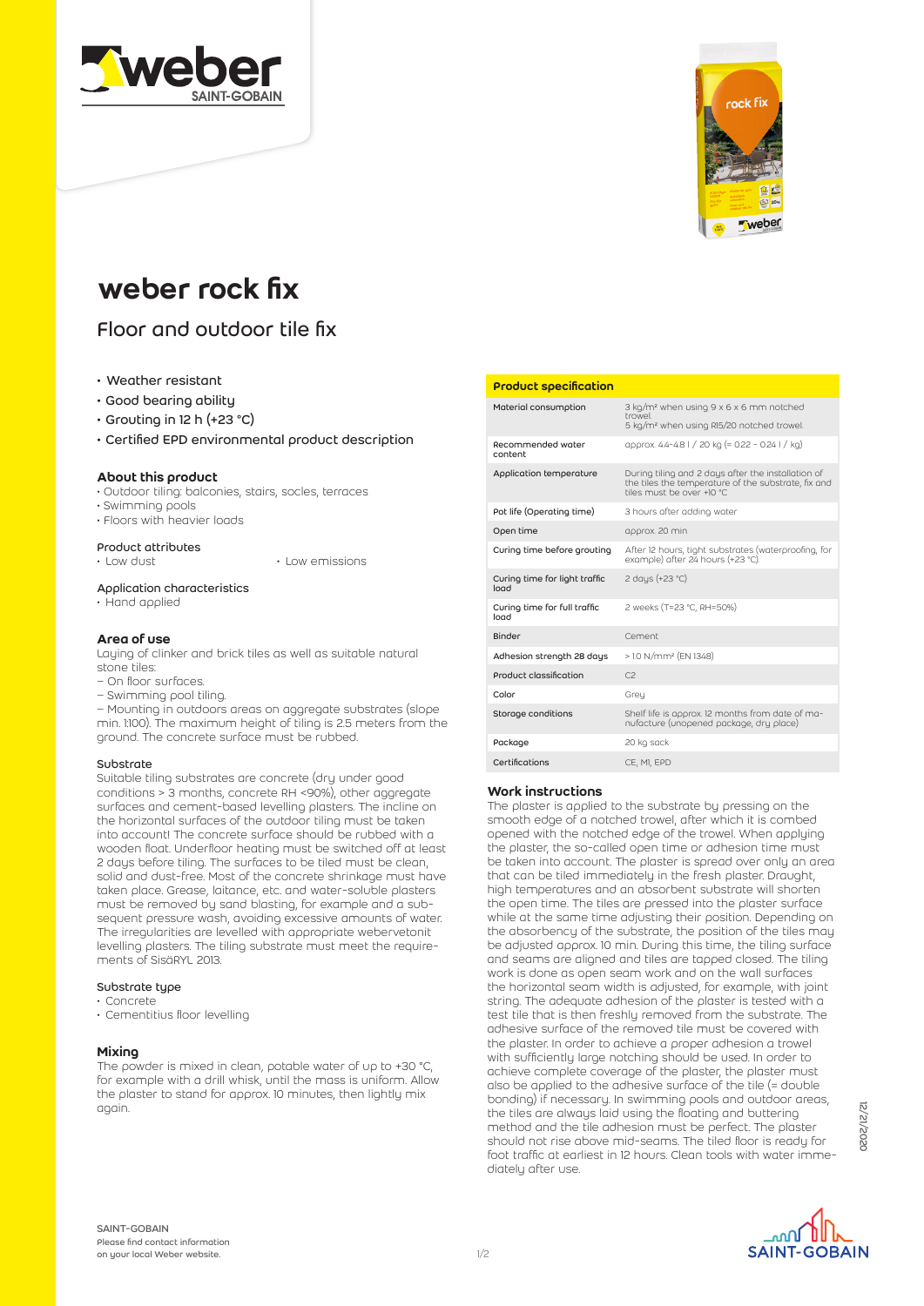



# weber rock fix

# Floor and outdoor tile fix

- Weather resistant
- Good bearing ability
- Grouting in 12 h (+23 °C)
- Certified EPD environmental product description

### About this product

- Outdoor tiling: balconies, stairs, socles, terraces
- Swimming pools
- Floors with heavier loads

# **Product attributes**<br>• Low dust

• Low emissions

#### Application characteristics

• Hand applied

#### Area of use

Laying of clinker and brick tiles as well as suitable natural stone tiles:

- On floor surfaces.
- Swimming pool tiling.

– Mounting in outdoors areas on aggregate substrates (slope min. 1:100). The maximum height of tiling is 2.5 meters from the ground. The concrete surface must be rubbed.

#### Substrate

Suitable tiling substrates are concrete (dry under good conditions > 3 months, concrete RH <90%), other aggregate surfaces and cement-based levelling plasters. The incline on the horizontal surfaces of the outdoor tiling must be taken into account! The concrete surface should be rubbed with a wooden float. Underfloor heating must be switched off at least 2 days before tiling. The surfaces to be tiled must be clean, solid and dust-free. Most of the concrete shrinkage must have taken place. Grease, laitance, etc. and water-soluble plasters must be removed by sand blasting, for example and a subsequent pressure wash, avoiding excessive amounts of water. The irregularities are levelled with appropriate webervetonit levelling plasters. The tiling substrate must meet the requirements of SisäRYL 2013.

#### Substrate type

- Concrete
- Cementitius floor levelling

#### **Mixing**

The powder is mixed in clean, potable water of up to +30 °C, for example with a drill whisk, until the mass is uniform. Allow the plaster to stand for approx. 10 minutes, then lightly mix again.

#### Product specification

| Material consumption                  | 3 kg/m <sup>2</sup> when using 9 x 6 x 6 mm notched<br>trowel<br>5 kg/m <sup>2</sup> when using R15/20 notched trowel.                 |
|---------------------------------------|----------------------------------------------------------------------------------------------------------------------------------------|
| Recommended water<br>content          | approx. 4.4-4.8   / 20 kg (= 0.22 - 0.24   / kg)                                                                                       |
| Application temperature               | During tiling and 2 days after the installation of<br>the tiles the temperature of the substrate, fix and<br>tiles must be over +10 °C |
| Pot life (Operating time)             | 3 hours after adding water                                                                                                             |
| Open time                             | approx. 20 min                                                                                                                         |
| Curing time before grouting           | After 12 hours, tight substrates (waterproofing, for<br>example) after 24 hours (+23 °C).                                              |
| Curing time for light traffic<br>load | 2 days (+23 °C)                                                                                                                        |
| Curing time for full traffic<br>load  | 2 weeks (T=23 °C, RH=50%)                                                                                                              |
| Binder                                | Cement                                                                                                                                 |
| Adhesion strength 28 days             | > 1.0 N/mm <sup>2</sup> (EN 1348)                                                                                                      |
| Product classification                | C <sub>2</sub>                                                                                                                         |
| Color                                 | Grey                                                                                                                                   |
| Storage conditions                    | Shelf life is approx. 12 months from date of ma-<br>nufacture (unopened package, dry place)                                            |
| Package                               | 20 kg sack                                                                                                                             |
| Certifications                        | CE, MI, EPD                                                                                                                            |

### Work instructions

The plaster is applied to the substrate by pressing on the smooth edge of a notched trowel, after which it is combed opened with the notched edge of the trowel. When applying the plaster, the so-called open time or adhesion time must be taken into account. The plaster is spread over only an area that can be tiled immediately in the fresh plaster. Draught, high temperatures and an absorbent substrate will shorten the open time. The tiles are pressed into the plaster surface while at the same time adjusting their position. Depending on the absorbency of the substrate, the position of the tiles may be adjusted approx. 10 min. During this time, the tiling surface and seams are aligned and tiles are tapped closed. The tiling work is done as open seam work and on the wall surfaces the horizontal seam width is adjusted, for example, with joint string. The adequate adhesion of the plaster is tested with a test tile that is then freshly removed from the substrate. The adhesive surface of the removed tile must be covered with the plaster. In order to achieve a proper adhesion a trowel with sufficiently large notching should be used. In order to achieve complete coverage of the plaster, the plaster must also be applied to the adhesive surface of the tile (= double bonding) if necessary. In swimming pools and outdoor areas, the tiles are always laid using the floating and buttering method and the tile adhesion must be perfect. The plaster should not rise above mid-seams. The tiled floor is ready for foot traffic at earliest in 12 hours. Clean tools with water immediately after use.